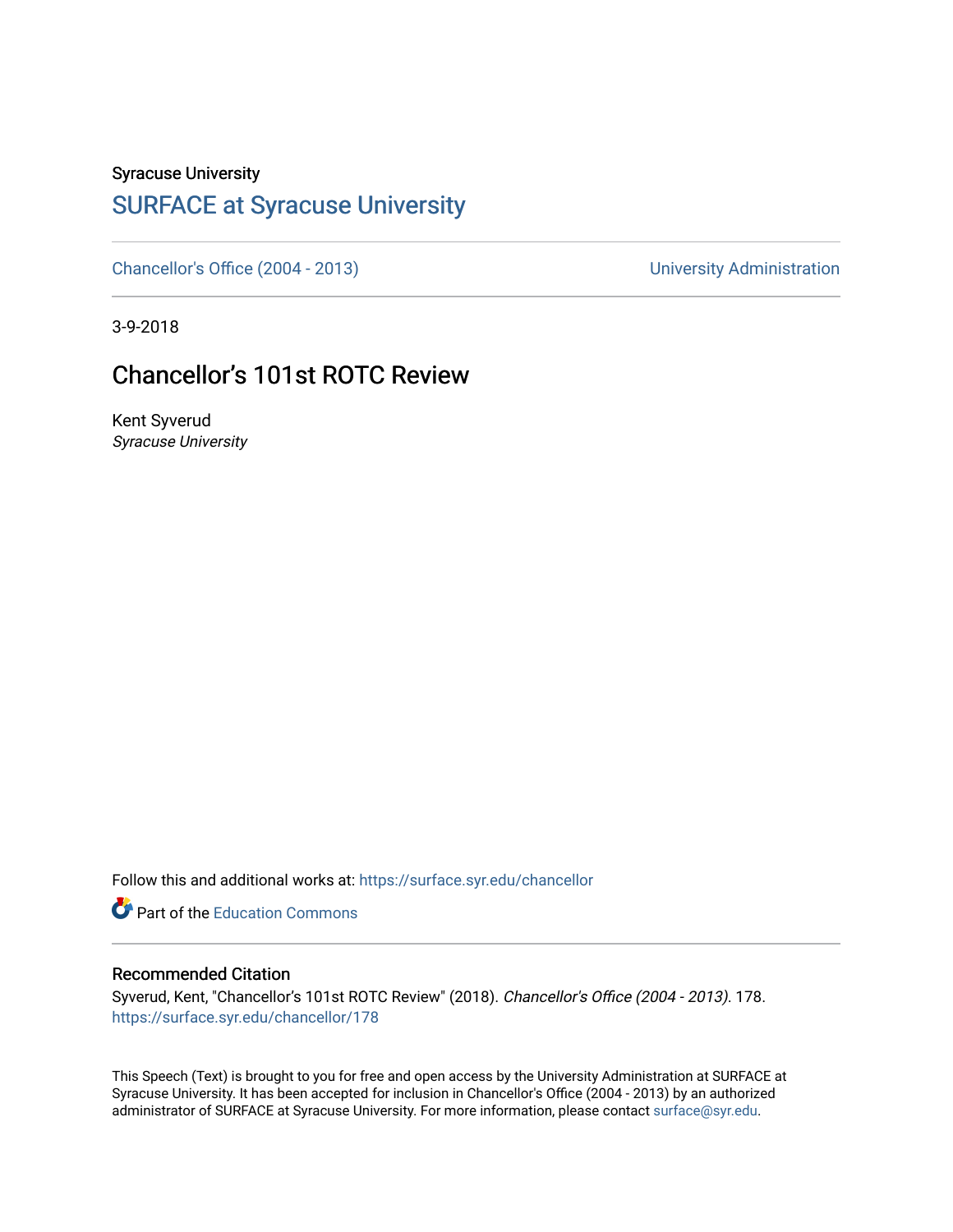#### Syracuse University

### [SURFACE at Syracuse University](https://surface.syr.edu/)

[Chancellor's Office \(2004 - 2013\)](https://surface.syr.edu/chancellor) Chancellor's Office (2004 - 2013)

3-9-2018

## Chancellor's 101st ROTC Review

Kent Syverud Syracuse University

Follow this and additional works at: [https://surface.syr.edu/chancellor](https://surface.syr.edu/chancellor?utm_source=surface.syr.edu%2Fchancellor%2F178&utm_medium=PDF&utm_campaign=PDFCoverPages) 

**C** Part of the [Education Commons](http://network.bepress.com/hgg/discipline/784?utm_source=surface.syr.edu%2Fchancellor%2F178&utm_medium=PDF&utm_campaign=PDFCoverPages)

#### Recommended Citation

Syverud, Kent, "Chancellor's 101st ROTC Review" (2018). Chancellor's Office (2004 - 2013). 178. [https://surface.syr.edu/chancellor/178](https://surface.syr.edu/chancellor/178?utm_source=surface.syr.edu%2Fchancellor%2F178&utm_medium=PDF&utm_campaign=PDFCoverPages) 

This Speech (Text) is brought to you for free and open access by the University Administration at SURFACE at Syracuse University. It has been accepted for inclusion in Chancellor's Office (2004 - 2013) by an authorized administrator of SURFACE at Syracuse University. For more information, please contact [surface@syr.edu.](mailto:surface@syr.edu)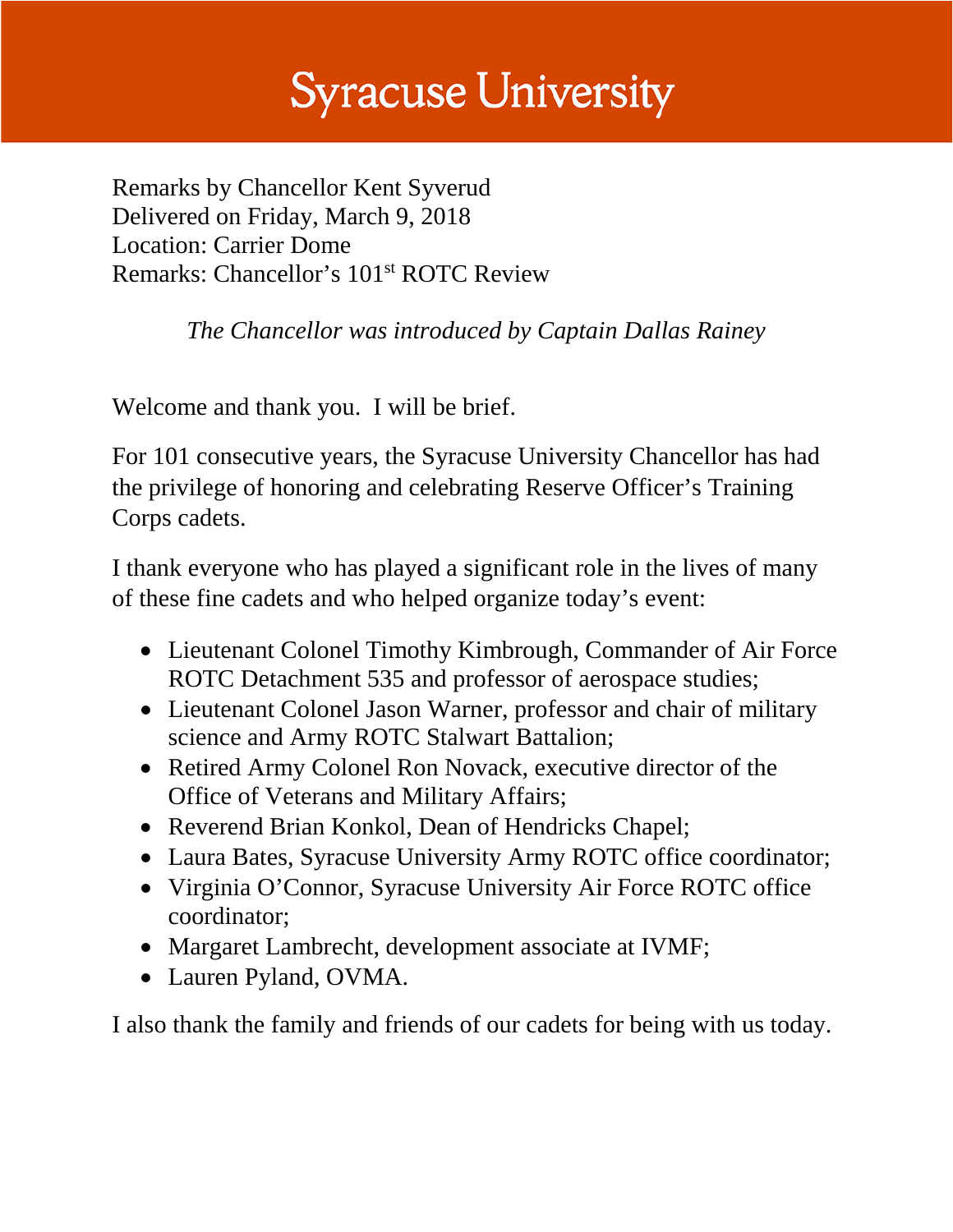# **Syracuse University**

Remarks by Chancellor Kent Syverud Delivered on Friday, March 9, 2018 Location: Carrier Dome Remarks: Chancellor's 101st ROTC Review

*The Chancellor was introduced by Captain Dallas Rainey*

Welcome and thank you. I will be brief.

For 101 consecutive years, the Syracuse University Chancellor has had the privilege of honoring and celebrating Reserve Officer's Training Corps cadets.

I thank everyone who has played a significant role in the lives of many of these fine cadets and who helped organize today's event:

- Lieutenant Colonel Timothy Kimbrough, Commander of Air Force ROTC Detachment 535 and professor of aerospace studies;
- Lieutenant Colonel Jason Warner, professor and chair of military science and Army ROTC Stalwart Battalion;
- Retired Army Colonel Ron Novack, executive director of the Office of Veterans and Military Affairs;
- Reverend Brian Konkol, Dean of Hendricks Chapel;
- Laura Bates, Syracuse University Army ROTC office coordinator;
- Virginia O'Connor, Syracuse University Air Force ROTC office coordinator;
- Margaret Lambrecht, development associate at IVMF;
- Lauren Pyland, OVMA.

I also thank the family and friends of our cadets for being with us today.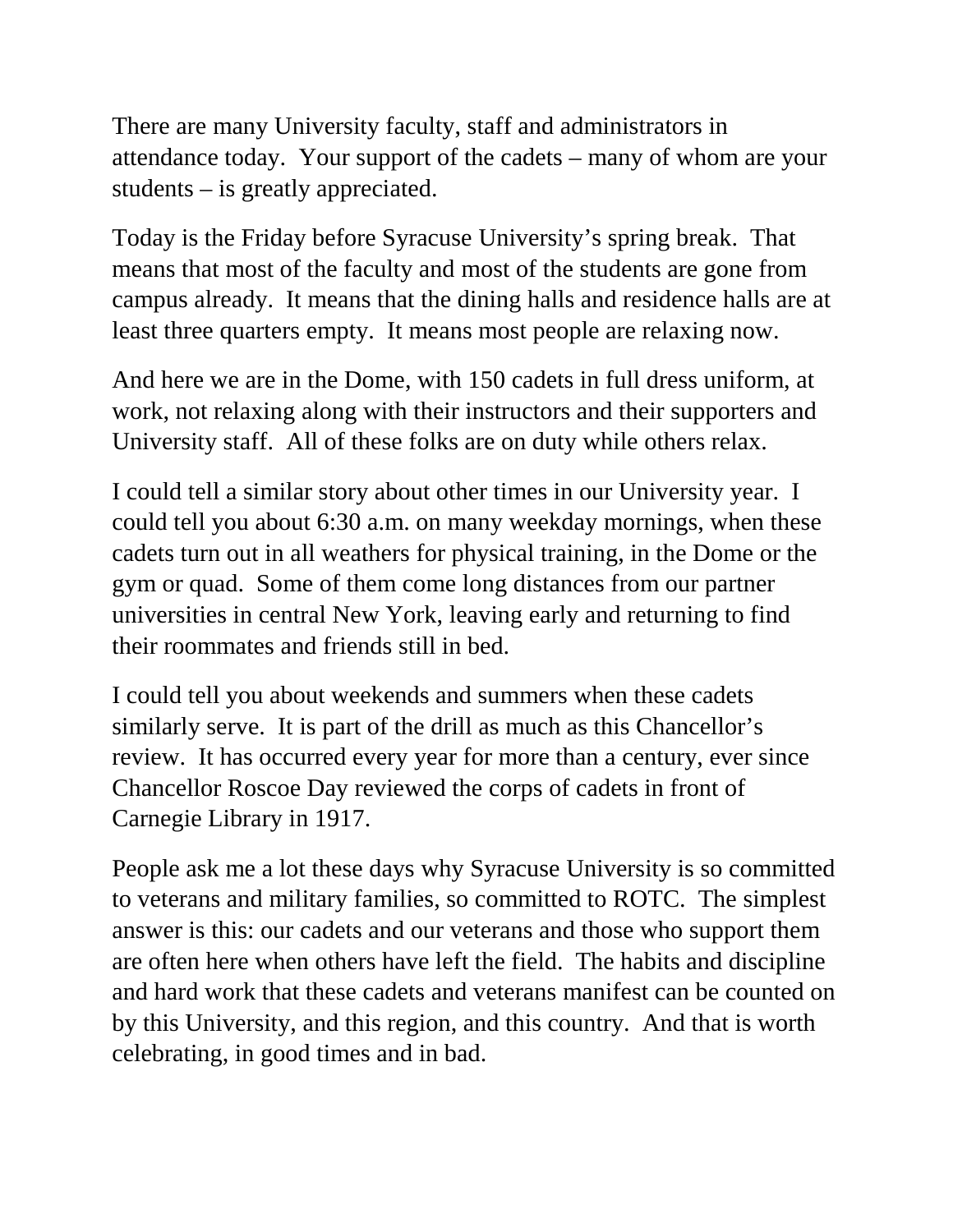There are many University faculty, staff and administrators in attendance today. Your support of the cadets – many of whom are your students – is greatly appreciated.

Today is the Friday before Syracuse University's spring break. That means that most of the faculty and most of the students are gone from campus already. It means that the dining halls and residence halls are at least three quarters empty. It means most people are relaxing now.

And here we are in the Dome, with 150 cadets in full dress uniform, at work, not relaxing along with their instructors and their supporters and University staff. All of these folks are on duty while others relax.

I could tell a similar story about other times in our University year. I could tell you about 6:30 a.m. on many weekday mornings, when these cadets turn out in all weathers for physical training, in the Dome or the gym or quad. Some of them come long distances from our partner universities in central New York, leaving early and returning to find their roommates and friends still in bed.

I could tell you about weekends and summers when these cadets similarly serve. It is part of the drill as much as this Chancellor's review. It has occurred every year for more than a century, ever since Chancellor Roscoe Day reviewed the corps of cadets in front of Carnegie Library in 1917.

People ask me a lot these days why Syracuse University is so committed to veterans and military families, so committed to ROTC. The simplest answer is this: our cadets and our veterans and those who support them are often here when others have left the field. The habits and discipline and hard work that these cadets and veterans manifest can be counted on by this University, and this region, and this country. And that is worth celebrating, in good times and in bad.